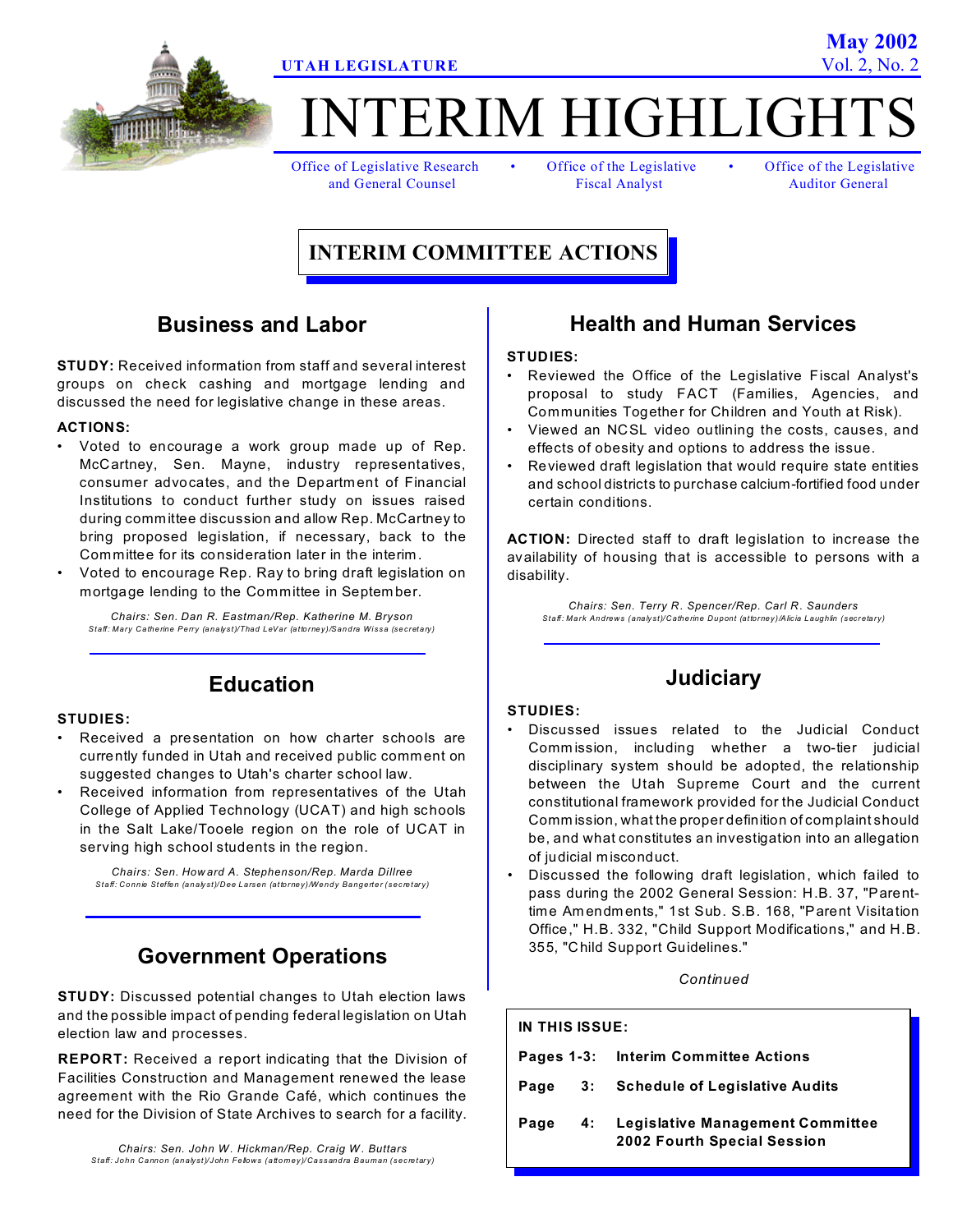

# TERIM HIGHLIGH

Office of Legislative Research • Office of the Legislative • Office of the Legislative

and General Counsel Fiscal Analyst Auditor General

### **INTERIM COMMITTEE ACTIONS**

### **Business and Labor**

**STUDY:** Received information from staff and several interest groups on check cashing and mortgage lending and discussed the need for legislative change in these areas.

### **ACTIONS:**

- Voted to encourage a work group made up of Rep. McCartney, Sen. Mayne, industry representatives, consumer advocates, and the Departm ent of Financial Institutions to conduct further study on issues raised during committee discussion and allow Rep. McCartney to bring proposed legislation, if necessary, back to the Committee for its consideration later in the interim.
- Voted to encourage Rep. Ray to bring draft legislation on mortgage lending to the Committee in Septem ber.

*Chairs: Sen. Dan R. Eastman/Rep. Katherine M. Bryson Staff: Mary Catherine Perry (analyst)/Thad LeVar (attorney)/Sandra Wissa (secretary)*

### **Education**

### **STUDIES:**

- Received a presentation on how charter schools are currently funded in Utah and received public comment on suggested changes to Utah's charter school law.
- Received information from representatives of the Utah College of Applied Technology (UCAT) and high schools in the Salt Lake/Tooele region on the role of UCAT in serving high school students in the region.

*Chairs: Sen. How ard A. Stephenson/Rep. Marda Dillree Staff: Connie Steffen (analyst)/Dee Larsen (attorney)/Wendy Bangerter (secretary)*

### **Government Operations**

**STUDY:** Discussed potential changes to Utah election laws and the possible impact of pending federal legislation on Utah election law and processes.

**REPORT:** Received a report indicating that the Division of Facilities Construction and Management renewed the lease agreement with the Rio Grande Café, which continues the need for the Division of State Archives to search for a facility.

*Chairs: Sen. John W . Hickman/Rep. Craig W . Buttars Staff: John Cannon (analyst)/John Fellows (attorney)/Cassandra Bauman (secretary)*

### **Health and Human Services**

### **STUDIES:**

- Reviewed the Office of the Legislative Fiscal Analyst's proposal to study FACT (Families, Agencies, and Communities Together for Children and Youth at Risk).
- Viewed an NCSL video outlining the costs, causes, and effects of obesity and options to address the issue.
- Reviewed draft legislation that would require state entities and school districts to purchase calcium-fortified food under certain conditions.

**ACTION:** Directed staff to draft legislation to increase the availability of housing that is accessible to persons with a disability.

*Chairs: Sen. Terry R. Spencer/Rep. Carl R. Saunders Staff: Mark Andrews (analyst)/Catherine Dupont (attorney)/Alicia Laughlin (secretary)*

### **Judiciary**

#### **STUDIES:**

- Discussed issues related to the Judicial Conduct Comm ission, including whether a two-tier judicial disciplinary system should be adopted, the relationship between the Utah Supreme Court and the current constitutional framework provided for the Judicial Conduct Comm ission, what the proper definition of complaint should be, and what constitutes an investigation into an allegation of judicial misconduct.
- Discussed the following draft legislation, which failed to pass during the 2002 General Session: H.B. 37, "Parenttime Am endm ents," 1st Sub. S.B. 168, "Parent Visitation Office," H.B. 332, "Child Support Modifications," and H.B. 355, "Child Support Guidelines."

*Continued*

# **IN THIS ISSUE:**

|  |  | Pages 1-3: Interim Committee Actions                                           |  |
|--|--|--------------------------------------------------------------------------------|--|
|  |  | Page 3: Schedule of Legislative Audits                                         |  |
|  |  | Page 4: Legislative Management Committee<br><b>2002 Fourth Special Session</b> |  |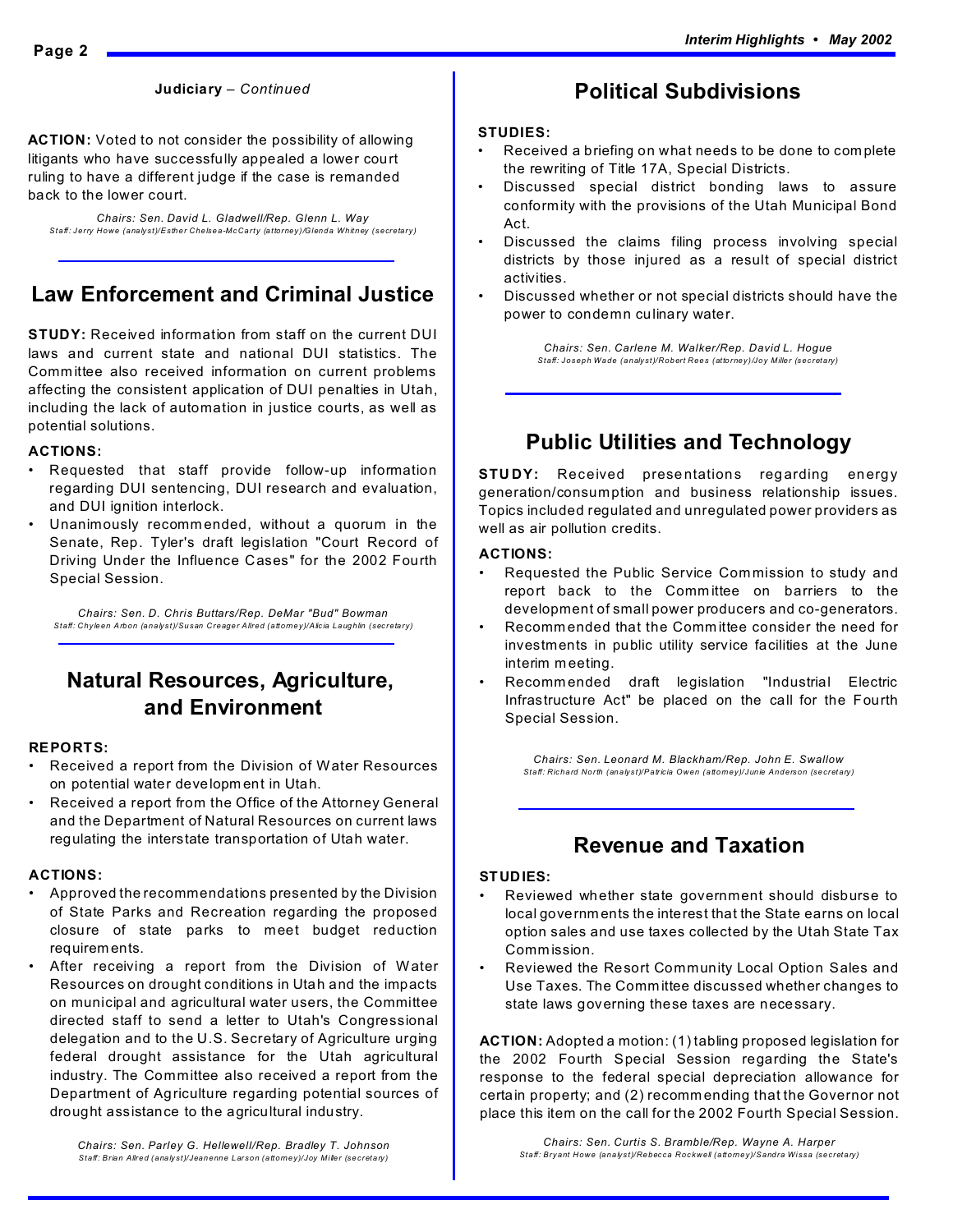**ACTION:** Voted to not consider the possibility of allowing litigants who have successfully appealed a lower court ruling to have a different judge if the case is remanded back to the lower court.

*Chairs: Sen. David L. Gladwell/Rep. Glenn L. Way Staff: Jerry Howe (analyst)/Esther Chelsea-McCarty (attorney)/Glenda Whitney (secretary)*

### **Law Enforcement and Criminal Justice**

**STUDY:** Received information from staff on the current DUI laws and current state and national DUI statistics. The Comm ittee also received information on current problems affecting the consistent application of DUI penalties in Utah, including the lack of automation in justice courts, as well as potential solutions.

#### **ACTIONS:**

- Requested that staff provide follow-up information regarding DUI sentencing, DUI research and evaluation, and DUI ignition interlock.
- Unanimously recommended, without a quorum in the Senate, Rep. Tyler's draft legislation "Court Record of Driving Under the Influence Cases" for the 2002 Fourth Special Session.

*Chairs: Sen. D. Chris Buttars/Rep. DeMar "Bud" Bowman Staff: Chyleen Arbon (analyst)/Susan Creager Allred (attorney)/Alicia Laughlin (secretary)*

### **Natural Resources, Agriculture, and Environment**

#### **REPORTS:**

- Received a report from the Division of Water Resources on potential water developm ent in Utah.
- Received a report from the Office of the Attorney General and the Department of Natural Resources on current laws regulating the interstate transportation of Utah water.

### **ACTIONS:**

- Approved the recommendations presented by the Division of State Parks and Recreation regarding the proposed closure of state parks to meet budget reduction requirem ents.
- After receiving a report from the Division of Water Resources on drought conditions in Utah and the impacts on municipal and agricultural water users, the Committee directed staff to send a letter to Utah's Congressional delegation and to the U.S. Secretary of Agriculture urging federal drought assistance for the Utah agricultural industry. The Committee also received a report from the Department of Agriculture regarding potential sources of drought assistance to the agricultural industry.

### **Political Subdivisions**

#### **STUDIES:**

- Received a briefing on what needs to be done to com plete the rewriting of Title 17A, Special Districts.
- Discussed special district bonding laws to assure conformity with the provisions of the Utah Municipal Bond Act.
- Discussed the claims filing process involving special districts by those injured as a result of special district activities.
- Discussed whether or not special districts should have the power to condemn culinary water.

*Chairs: Sen. Carlene M. Walker/Rep. David L. Hogue Staff: Joseph Wade (analyst)/Robert Rees (attorney)/Joy Miller (secretary)*

### **Public Utilities and Technology**

**STUDY:** Received presentations regarding energy generation/consumption and business relationship issues. Topics included regulated and unregulated power providers as well as air pollution credits.

#### **ACTIONS:**

- Requested the Public Service Commission to study and report back to the Comm ittee on barriers to the development of small power producers and co-generators.
- Recomm ended that the Comm ittee consider the need for investments in public utility service facilities at the June interim m eeting.
- Recomm ended draft legislation "Industrial Electric Infrastructure Act" be placed on the call for the Fourth Special Session.

*Chairs: Sen. Leonard M. Blackham/Rep. John E. Swallow Staff: Richard North (analyst)/Patricia Owen (attorney)/Junie Anderson (secretary)*

### **Revenue and Taxation**

### **STUDIES:**

- Reviewed whether state government should disburse to local governm ents the interest that the State earns on local option sales and use taxes collected by the Utah State Tax Comm ission.
- Reviewed the Resort Community Local Option Sales and Use Taxes. The Comm ittee discussed whether changes to state laws governing these taxes are necessary.

**ACTION:** Adopted a motion: (1) tabling proposed legislation for the 2002 Fourth Special Session regarding the State's response to the federal special depreciation allowance for certain property; and (2) recomm ending that the Governor not place this item on the call for the 2002 Fourth Special Session.

*Chairs: Sen. Curtis S. Bramble/Rep. Wayne A. Harper Staff: Bryant Howe (analyst)/Rebecca Rockwell (attorney)/Sandra Wissa (secretary)*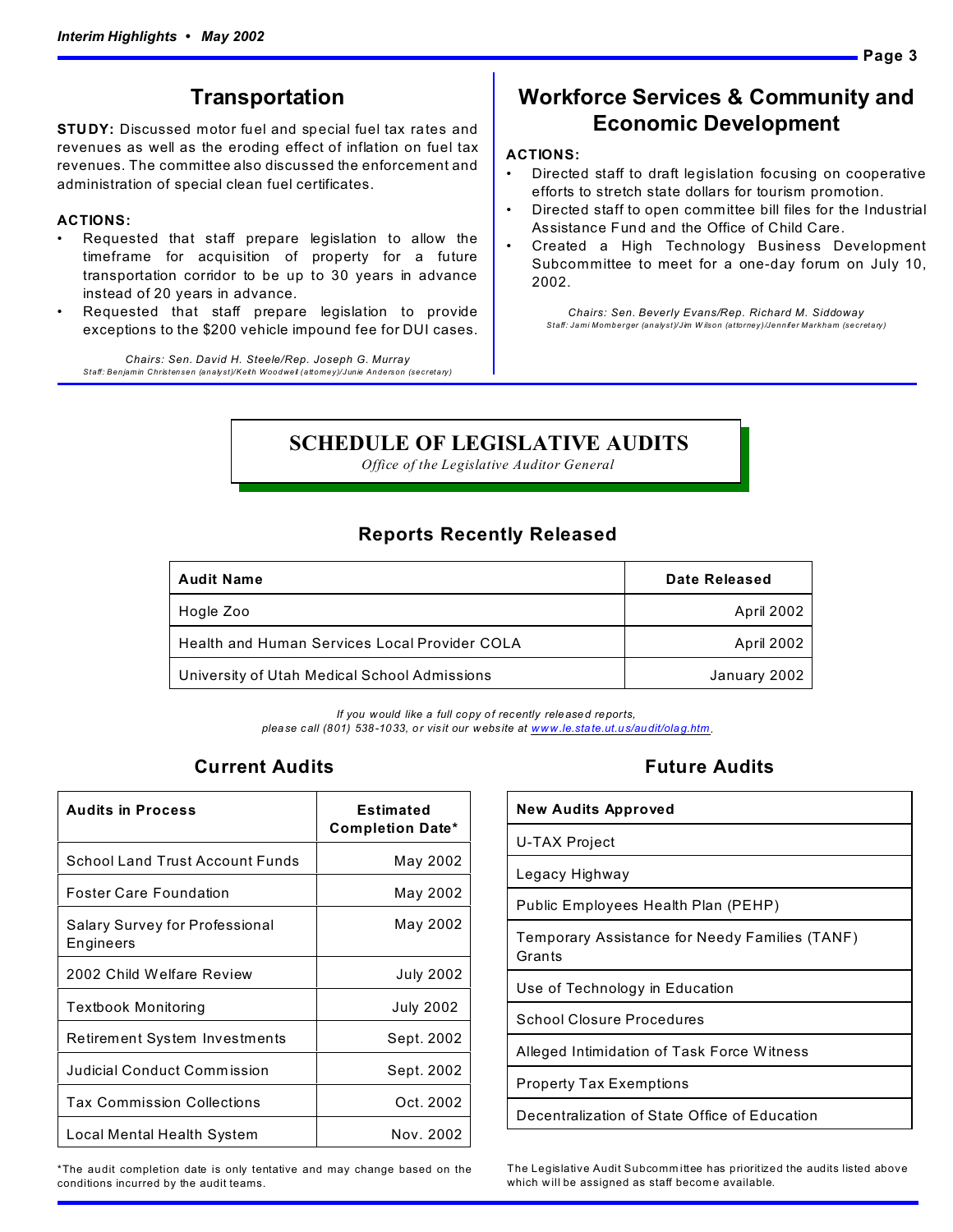### **Transportation**

**STUDY:** Discussed motor fuel and special fuel tax rates and revenues as well as the eroding effect of inflation on fuel tax revenues. The committee also discussed the enforcement and administration of special clean fuel certificates.

### **ACTIONS:**

- Requested that staff prepare legislation to allow the timeframe for acquisition of property for a future transportation corridor to be up to 30 years in advance instead of 20 years in advance.
- Requested that staff prepare legislation to provide exceptions to the \$200 vehicle impound fee for DUI cases.

*Chairs: Sen. David H. Steele/Rep. Joseph G. Murray Staff: Benjamin Christensen (analyst)/Keith Woodwell (attorney)/Junie Anderson (secretary)*

### **Workforce Services & Community and Economic Development**

### **ACTIONS:**

- Directed staff to draft legislation focusing on cooperative efforts to stretch state dollars for tourism promotion.
- Directed staff to open committee bill files for the Industrial Assistance Fund and the Office of Child Care.
- Created a High Technology Business Development Subcommittee to meet for a one-day forum on July 10, 2002.

*Chairs: Sen. Beverly Evans/Rep. Richard M. Siddoway Staff: Jami Momberger (analyst)/Jim W ilson (attorney)/Jennifer Markham (secretary)*

### **SCHEDULE OF LEGISLATIVE AUDITS**

*Office of the Legislative Auditor General*

### **Reports Recently Released**

| <b>Audit Name</b>                             | Date Released |
|-----------------------------------------------|---------------|
| Hogle Zoo                                     | April 2002    |
| Health and Human Services Local Provider COLA | April 2002    |
| University of Utah Medical School Admissions  | January 2002  |

*If you would like a full copy of recently released reports, please call (801) 538-1033, or visit our webs ite at www.le.state.ut.us/audit/olag.htm*.

### **Current Audits**

| <b>Audits in Process</b>                           | <b>Estimated</b><br><b>Completion Date*</b> |
|----------------------------------------------------|---------------------------------------------|
| School Land Trust Account Funds                    | May 2002                                    |
| <b>Foster Care Foundation</b>                      | May 2002                                    |
| <b>Salary Survey for Professional</b><br>Engineers | May 2002                                    |
| 2002 Child Welfare Review                          | <b>July 2002</b>                            |
| Textbook Monitoring                                | <b>July 2002</b>                            |
| <b>Retirement System Investments</b>               | Sept. 2002                                  |
| Judicial Conduct Commission                        | Sept. 2002                                  |
| <b>Tax Commission Collections</b>                  | Oct. 2002                                   |
| Local Mental Health System                         | Nov. 2002                                   |

\*The audit completion date is only tentative and may change based on the conditions incurred by the audit teams.

### **Future Audits**

| <b>New Audits Approved</b>                               |
|----------------------------------------------------------|
| U-TAX Project                                            |
| Legacy Highway                                           |
| Public Employees Health Plan (PEHP)                      |
| Temporary Assistance for Needy Families (TANF)<br>Grants |
| Use of Technology in Education                           |
| School Closure Procedures                                |
| Alleged Intimidation of Task Force Witness               |
| Property Tax Exemptions                                  |
| Decentralization of State Office of Education            |

**Page 3**

The Legislative Audit Subcomm ittee has prioritized the audits listed above which will be assigned as staff become available.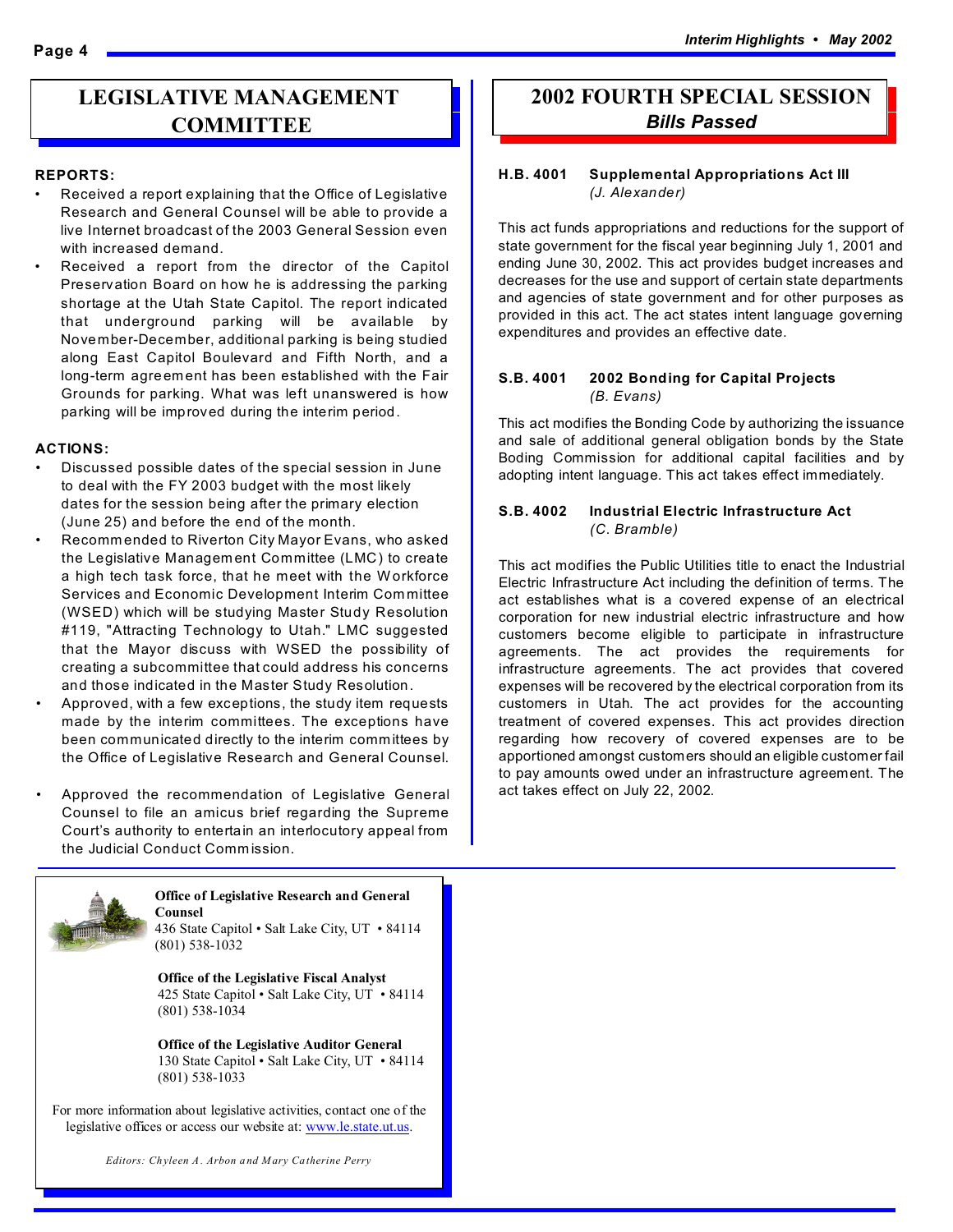### **LEGISLATIVE MANAGEMENT COMMITTEE**

#### **REPORTS:**

- Received a report explaining that the Office of Legislative Research and General Counsel will be able to provide a live Internet broadcast of the 2003 General Session even with increased demand.
- Received a report from the director of the Capitol Preservation Board on how he is addressing the parking shortage at the Utah State Capitol. The report indicated that underground parking will be available by November-December, additional parking is being studied along East Capitol Boulevard and Fifth North, and a long-term agreement has been established with the Fair Grounds for parking. What was left unanswered is how parking will be improved during the interim period.

#### **ACTIONS:**

- Discussed possible dates of the special session in June to deal with the FY 2003 budget with the most likely dates for the session being after the primary election (June 25) and before the end of the month.
- Recomm ended to Riverton City Mayor Evans, who asked the Legislative Managem ent Committee (LMC) to create a high tech task force, that he meet with the Workforce Services and Economic Development Interim Com mittee (WSED) which will be studying Master Study Resolution #119, "Attracting Technology to Utah." LMC suggested that the Mayor discuss with WSED the possibility of creating a subcommittee that could address his concerns and those indicated in the Master Study Resolution.
- Approved, with a few exceptions, the study item requests made by the interim committees. The exceptions have been communicated directly to the interim committees by the Office of Legislative Research and General Counsel.
- Approved the recommendation of Legislative General Counsel to file an amicus brief regarding the Supreme Court's authority to entertain an interlocutory appeal from the Judicial Conduct Comm ission.



#### **Office of Legislative Research and General Counsel** 436 State Capitol • Salt Lake City, UT • 84114

(801) 538-1032

**Office of the Legislative Fiscal Analyst** 425 State Capitol • Salt Lake City, UT • 84114 (801) 538-1034

**Office of the Legislative Auditor General** 130 State Capitol • Salt Lake City, UT • 84114 (801) 538-1033

For more information about legislative activities, contact one of the legislative offices or access our website at: www.le.state.ut.us.

### **2002 FOURTH SPECIAL SESSION** *Bills Passed*

### **H.B. 4001 Supplemental Appropriations Act III**  *(J. Alexander)*

This act funds appropriations and reductions for the support of state government for the fiscal year beginning July 1, 2001 and ending June 30, 2002. This act provides budget increases and decreases for the use and support of certain state departments and agencies of state government and for other purposes as provided in this act. The act states intent language governing expenditures and provides an effective date.

#### **S.B. 4001 2002 Bonding for Capital Projects** *(B. Evans)*

This act modifies the Bonding Code by authorizing the issuance and sale of additional general obligation bonds by the State Boding Commission for additional capital facilities and by adopting intent language. This act takes effect immediately.

### **S.B. 4002 Industrial Electric Infrastructure Act** *(C. Bramble)*

This act modifies the Public Utilities title to enact the Industrial Electric Infrastructure Act including the definition of terms. The act establishes what is a covered expense of an electrical corporation for new industrial electric infrastructure and how customers become eligible to participate in infrastructure agreements. The act provides the requirements for infrastructure agreements. The act provides that covered expenses will be recovered by the electrical corporation from its customers in Utah. The act provides for the accounting treatment of covered expenses. This act provides direction regarding how recovery of covered expenses are to be apportioned amongst customers should an eligible customer fail to pay amounts owed under an infrastructure agreement. The act takes effect on July 22, 2002.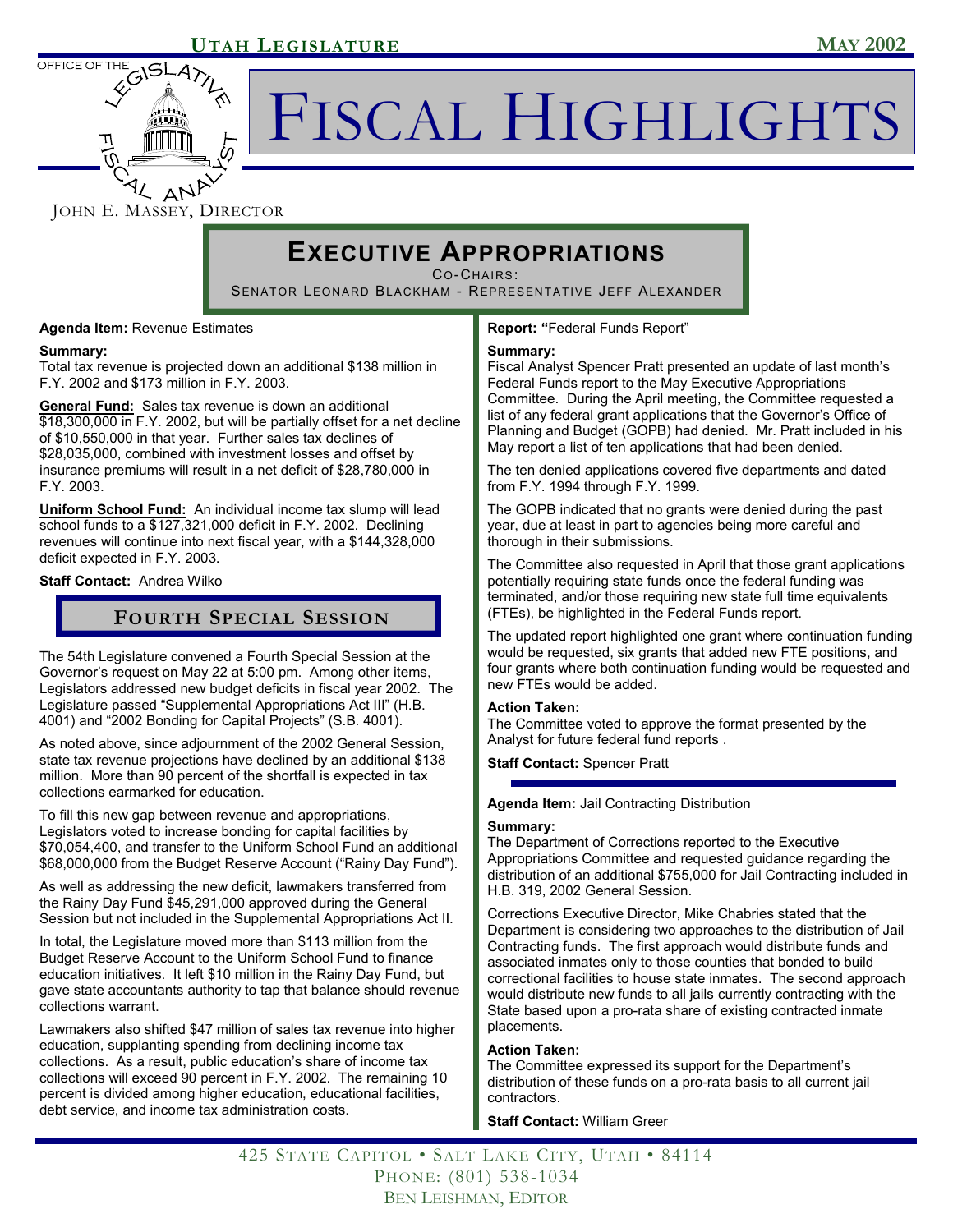

FISCAL HIGHLIGHTS

### JOHN E. MASSEY, DIRECTOR

## **EXECUTIVE APPROPRIATIONS**

CO-CHAIRS:

SENATOR LEONARD BLACKHAM - REPRESENTATIVE JEFF ALEXANDER

**Agenda Item:** Revenue Estimates

### **Summary:**

Total tax revenue is projected down an additional \$138 million in F.Y. 2002 and \$173 million in F.Y. 2003.

**General Fund:** Sales tax revenue is down an additional \$18,300,000 in F.Y. 2002, but will be partially offset for a net decline of \$10,550,000 in that year. Further sales tax declines of \$28,035,000, combined with investment losses and offset by insurance premiums will result in a net deficit of \$28,780,000 in F.Y. 2003.

**Uniform School Fund:** An individual income tax slump will lead school funds to a \$127,321,000 deficit in F.Y. 2002. Declining revenues will continue into next fiscal year, with a \$144,328,000 deficit expected in F.Y. 2003.

**Staff Contact:** Andrea Wilko

### **FOURTH SPECIAL SESSION**

The 54th Legislature convened a Fourth Special Session at the Governor's request on May 22 at 5:00 pm. Among other items, Legislators addressed new budget deficits in fiscal year 2002. The Legislature passed "Supplemental Appropriations Act III" (H.B. 4001) and "2002 Bonding for Capital Projects" (S.B. 4001).

As noted above, since adjournment of the 2002 General Session, state tax revenue projections have declined by an additional \$138 million. More than 90 percent of the shortfall is expected in tax collections earmarked for education.

To fill this new gap between revenue and appropriations, Legislators voted to increase bonding for capital facilities by \$70,054,400, and transfer to the Uniform School Fund an additional \$68,000,000 from the Budget Reserve Account ("Rainy Day Fund").

As well as addressing the new deficit, lawmakers transferred from the Rainy Day Fund \$45,291,000 approved during the General Session but not included in the Supplemental Appropriations Act II.

In total, the Legislature moved more than \$113 million from the Budget Reserve Account to the Uniform School Fund to finance education initiatives. It left \$10 million in the Rainy Day Fund, but gave state accountants authority to tap that balance should revenue collections warrant.

Lawmakers also shifted \$47 million of sales tax revenue into higher education, supplanting spending from declining income tax collections. As a result, public education's share of income tax collections will exceed 90 percent in F.Y. 2002. The remaining 10 percent is divided among higher education, educational facilities, debt service, and income tax administration costs.

**Report: "**Federal Funds Report"

### **Summary:**

Fiscal Analyst Spencer Pratt presented an update of last month's Federal Funds report to the May Executive Appropriations Committee. During the April meeting, the Committee requested a list of any federal grant applications that the Governor's Office of Planning and Budget (GOPB) had denied. Mr. Pratt included in his May report a list of ten applications that had been denied.

The ten denied applications covered five departments and dated from F.Y. 1994 through F.Y. 1999.

The GOPB indicated that no grants were denied during the past year, due at least in part to agencies being more careful and thorough in their submissions.

The Committee also requested in April that those grant applications potentially requiring state funds once the federal funding was terminated, and/or those requiring new state full time equivalents (FTEs), be highlighted in the Federal Funds report.

The updated report highlighted one grant where continuation funding would be requested, six grants that added new FTE positions, and four grants where both continuation funding would be requested and new FTEs would be added.

### **Action Taken:**

The Committee voted to approve the format presented by the Analyst for future federal fund reports .

**Staff Contact:** Spencer Pratt

### **Agenda Item:** Jail Contracting Distribution

### **Summary:**

The Department of Corrections reported to the Executive Appropriations Committee and requested guidance regarding the distribution of an additional \$755,000 for Jail Contracting included in H.B. 319, 2002 General Session.

Corrections Executive Director, Mike Chabries stated that the Department is considering two approaches to the distribution of Jail Contracting funds. The first approach would distribute funds and associated inmates only to those counties that bonded to build correctional facilities to house state inmates. The second approach would distribute new funds to all jails currently contracting with the State based upon a pro-rata share of existing contracted inmate placements.

### **Action Taken:**

The Committee expressed its support for the Department's distribution of these funds on a pro-rata basis to all current jail contractors.

**Staff Contact:** William Greer

425 STATE CAPITOL • SALT LAKE CITY, UTAH • 84114 PHONE: (801) 538-1034 BEN LEISHMAN, EDITOR